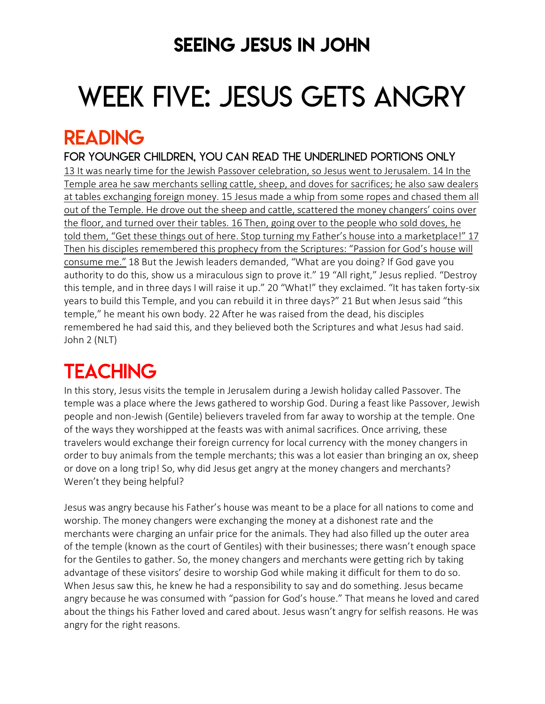## SEEING JESUS IN JOHN

# WEEK FIVE: JESUS GETS ANGRY

### READING

FOR younger children, YOU can READ THE UNDERLINED PORTIONS ONLY 13 It was nearly time for the Jewish Passover celebration, so Jesus went to Jerusalem. 14 In the Temple area he saw merchants selling cattle, sheep, and doves for sacrifices; he also saw dealers at tables exchanging foreign money. 15 Jesus made a whip from some ropes and chased them all out of the Temple. He drove out the sheep and cattle, scattered the money changers' coins over the floor, and turned over their tables. 16 Then, going over to the people who sold doves, he told them, "Get these things out of here. Stop turning my Father's house into a marketplace!" 17 Then his disciples remembered this prophecy from the Scriptures: "Passion for God's house will consume me." 18 But the Jewish leaders demanded, "What are you doing? If God gave you authority to do this, show us a miraculous sign to prove it." 19 "All right," Jesus replied. "Destroy this temple, and in three days I will raise it up." 20 "What!" they exclaimed. "It has taken forty-six years to build this Temple, and you can rebuild it in three days?" 21 But when Jesus said "this temple," he meant his own body. 22 After he was raised from the dead, his disciples remembered he had said this, and they believed both the Scriptures and what Jesus had said. John 2 (NLT)

# **TEACHING**

In this story, Jesus visits the temple in Jerusalem during a Jewish holiday called Passover. The temple was a place where the Jews gathered to worship God. During a feast like Passover, Jewish people and non-Jewish (Gentile) believers traveled from far away to worship at the temple. One of the ways they worshipped at the feasts was with animal sacrifices. Once arriving, these travelers would exchange their foreign currency for local currency with the money changers in order to buy animals from the temple merchants; this was a lot easier than bringing an ox, sheep or dove on a long trip! So, why did Jesus get angry at the money changers and merchants? Weren't they being helpful?

Jesus was angry because his Father's house was meant to be a place for all nations to come and worship. The money changers were exchanging the money at a dishonest rate and the merchants were charging an unfair price for the animals. They had also filled up the outer area of the temple (known as the court of Gentiles) with their businesses; there wasn't enough space for the Gentiles to gather. So, the money changers and merchants were getting rich by taking advantage of these visitors' desire to worship God while making it difficult for them to do so. When Jesus saw this, he knew he had a responsibility to say and do something. Jesus became angry because he was consumed with "passion for God's house." That means he loved and cared about the things his Father loved and cared about. Jesus wasn't angry for selfish reasons. He was angry for the right reasons.